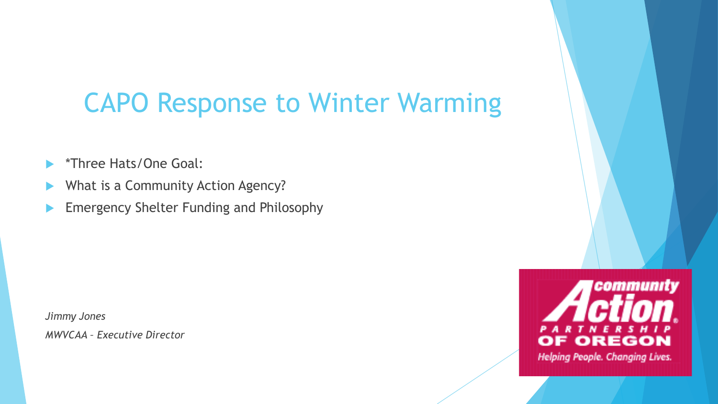## CAPO Response to Winter Warming

- \*Three Hats/One Goal:
- What is a Community Action Agency?
- Emergency Shelter Funding and Philosophy

*Jimmy Jones MWVCAA – Executive Director*

community  $\bullet$  REGO Helping People. Changing Lives.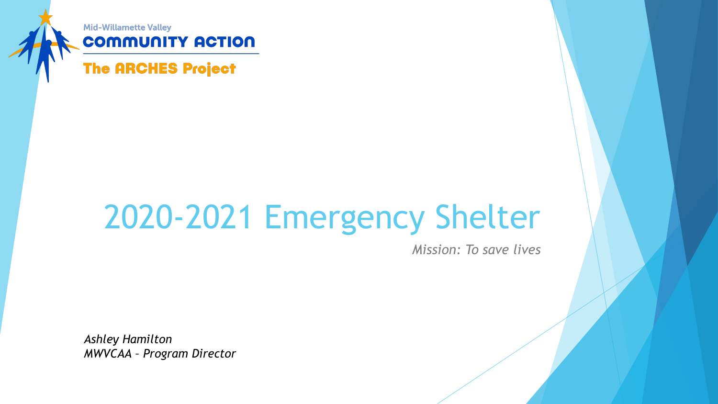

### **COMMUNITY ACTION**

### **The ARCHES Project**

# 2020-2021 Emergency Shelter

*Mission: To save lives* 

*Ashley Hamilton MWVCAA – Program Director*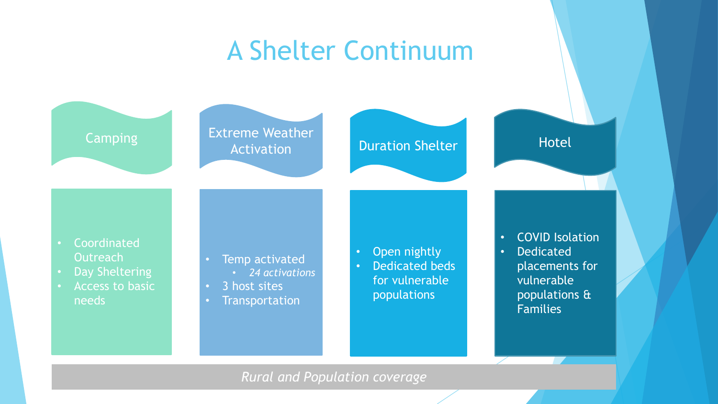## A Shelter Continuum



#### *Rural and Population coverage*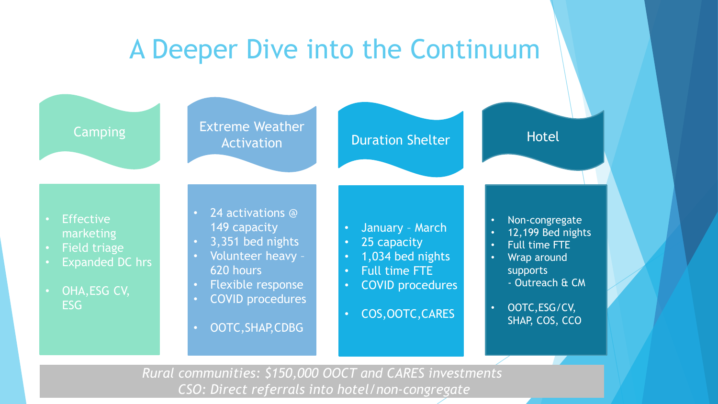## A Deeper Dive into the Continuum



*Rural communities: \$150,000 OOCT and CARES investments CSO: Direct referrals into hotel/non-congregate*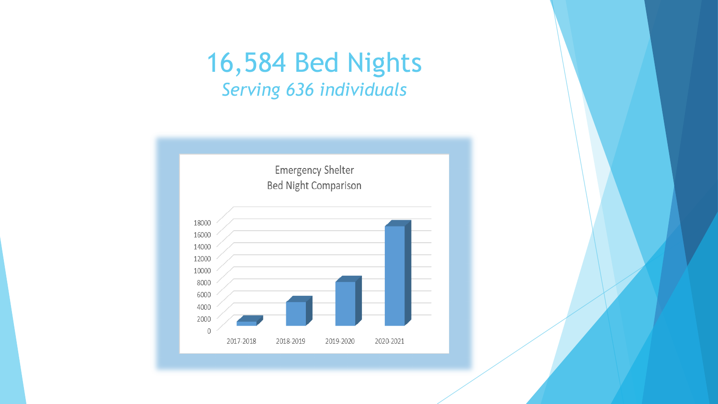## 16,584 Bed Nights *Serving 636 individuals*

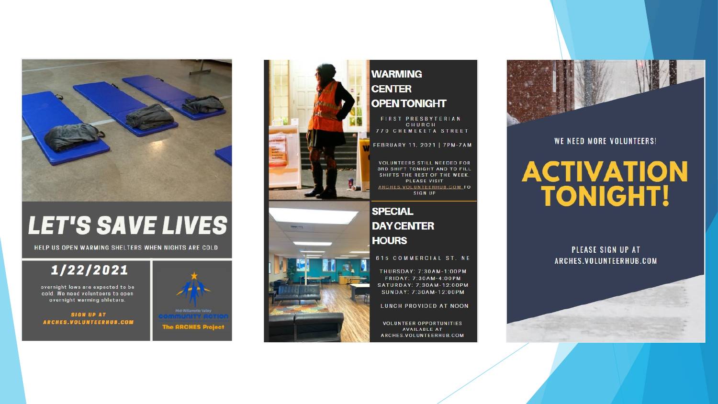

## **LET'S SAVE LIVES**

HELP US OPEN WARMING SHELTERS WHEN NIGHTS ARE COLD

#### 1/22/2021

overnight lows are expected to be cold. We need volunteers to open overnight warming shleters.

**SIGN UP AT** ARCHES.VOLUNTEERHUB.COM





#### **WARMING CENTER OPENTONIGHT**

FIRST PRESBYTERIAN CHURCH 770 CHEMEKETA STREET

FEBRUARY 11, 2021 | 7PM-7AM

**VOLUNTEERS STILL NEEDED FOR 3RD SHIFT TONIGHT AND TO FILL** SHIFTS THE REST OF THE WEEK. PLEASE VISIT ARCHES.VOLUNTEERHUB.COM\_TO **SIGN UP** 

**SPECIAL DAY CENTER HOURS** 

#### 615 COMMERCIAL ST. NE

THURSDAY: 7:30AM-1:00PM FRIDAY: 7:30AM-4:00PM SATURDAY: 7;30AM-12:00PM SUNDAY: 7:30AM-12:00PM

LUNCH PROVIDED AT NOON

**VOLUNTEER OPPORTUNITIES AVAILABLE AT** ARCHES.VOLUNTEERHUB.COM



WE NEED MORE VOLUNTEERS!

## **ACTIVATION TONIGHT!**

#### PLEASE SIGN UP AT ARCHES.VOLUNTEERHUB.COM





**The ARCHES Projec**